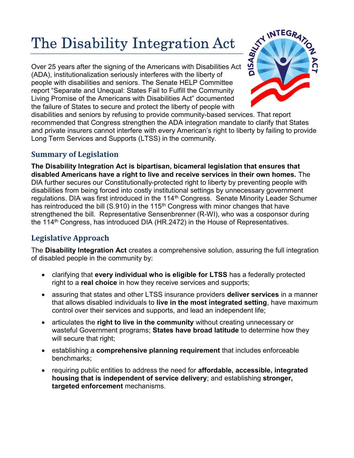# The Disability Integration Act  $\frac{S^{A}}{S^{B}}$  INTEGRA,

Over 25 years after the signing of the Americans with Disabilities Act (ADA), institutionalization seriously interferes with the liberty of people with disabilities and seniors. The Senate HELP Committee report "Separate and Unequal: States Fail to Fulfill the Community Living Promise of the Americans with Disabilities Act" documented the failure of States to secure and protect the liberty of people with



disabilities and seniors by refusing to provide community-based services. That report recommended that Congress strengthen the ADA integration mandate to clarify that States and private insurers cannot interfere with every American's right to liberty by failing to provide Long Term Services and Supports (LTSS) in the community.

### Summary of Legislation

The Disability Integration Act is bipartisan, bicameral legislation that ensures that disabled Americans have a right to live and receive services in their own homes. The DIA further secures our Constitutionally-protected right to liberty by preventing people with disabilities from being forced into costly institutional settings by unnecessary government regulations. DIA was first introduced in the 114<sup>th</sup> Congress. Senate Minority Leader Schumer has reintroduced the bill (S.910) in the 115<sup>th</sup> Congress with minor changes that have strengthened the bill. Representative Sensenbrenner (R-WI), who was a cosponsor during the 114th Congress, has introduced DIA (HR.2472) in the House of Representatives.

## Legislative Approach

The Disability Integration Act creates a comprehensive solution, assuring the full integration of disabled people in the community by:

- clarifying that every individual who is eligible for LTSS has a federally protected right to a real choice in how they receive services and supports;
- assuring that states and other LTSS insurance providers **deliver services** in a manner that allows disabled individuals to live in the most integrated setting, have maximum control over their services and supports, and lead an independent life;
- articulates the right to live in the community without creating unnecessary or wasteful Government programs; States have broad latitude to determine how they will secure that right;
- **EXECTED FIGHTS and SET ATTS:** establishing **includes** enforceable enforceable benchmarks;
- requiring public entities to address the need for **affordable, accessible, integrated** housing that is independent of service delivery; and establishing stronger, targeted enforcement mechanisms.